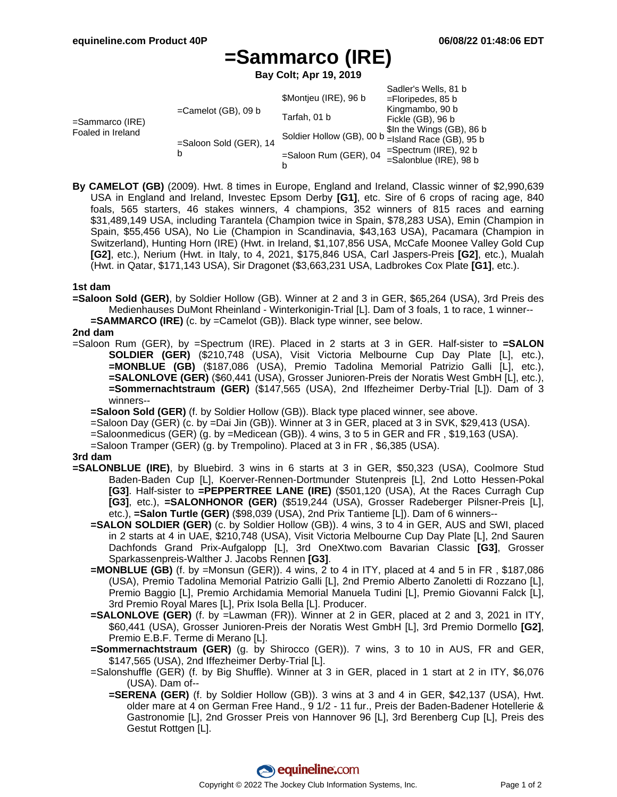# **=Sammarco (IRE)**

**Bay Colt; Apr 19, 2019**

|                                         |                        |                                                     | Sadler's Wells, 81 b      |
|-----------------------------------------|------------------------|-----------------------------------------------------|---------------------------|
| $=$ Sammarco (IRE)<br>Foaled in Ireland | $=$ Camelot (GB), 09 b | \$Montjeu (IRE), 96 b                               | $=$ Floripedes, 85 b      |
|                                         |                        | Tarfah, 01 b                                        | Kingmambo, 90 b           |
|                                         |                        |                                                     | Fickle (GB), 96 b         |
|                                         | =Saloon Sold (GER), 14 | Soldier Hollow (GB), 00 b __ Island Race (GB), 95 b | \$In the Wings (GB), 86 b |
|                                         |                        |                                                     |                           |
|                                         |                        | =Saloon Rum (GER), 04                               | $=$ Spectrum (IRE), 92 b  |
|                                         |                        |                                                     | $=$ Salonblue (IRE), 98 b |
|                                         |                        | b                                                   |                           |

**By CAMELOT (GB)** (2009). Hwt. 8 times in Europe, England and Ireland, Classic winner of \$2,990,639 USA in England and Ireland, Investec Epsom Derby **[G1]**, etc. Sire of 6 crops of racing age, 840 foals, 565 starters, 46 stakes winners, 4 champions, 352 winners of 815 races and earning \$31,489,149 USA, including Tarantela (Champion twice in Spain, \$78,283 USA), Emin (Champion in Spain, \$55,456 USA), No Lie (Champion in Scandinavia, \$43,163 USA), Pacamara (Champion in Switzerland), Hunting Horn (IRE) (Hwt. in Ireland, \$1,107,856 USA, McCafe Moonee Valley Gold Cup **[G2]**, etc.), Nerium (Hwt. in Italy, to 4, 2021, \$175,846 USA, Carl Jaspers-Preis **[G2]**, etc.), Mualah (Hwt. in Qatar, \$171,143 USA), Sir Dragonet (\$3,663,231 USA, Ladbrokes Cox Plate **[G1]**, etc.).

## **1st dam**

**=Saloon Sold (GER)**, by Soldier Hollow (GB). Winner at 2 and 3 in GER, \$65,264 (USA), 3rd Preis des Medienhauses DuMont Rheinland - Winterkonigin-Trial [L]. Dam of 3 foals, 1 to race, 1 winner-- **=SAMMARCO (IRE)** (c. by =Camelot (GB)). Black type winner, see below.

## **2nd dam**

=Saloon Rum (GER), by =Spectrum (IRE). Placed in 2 starts at 3 in GER. Half-sister to **=SALON SOLDIER (GER)** (\$210,748 (USA), Visit Victoria Melbourne Cup Day Plate [L], etc.), **=MONBLUE (GB)** (\$187,086 (USA), Premio Tadolina Memorial Patrizio Galli [L], etc.), **=SALONLOVE (GER)** (\$60,441 (USA), Grosser Junioren-Preis der Noratis West GmbH [L], etc.), **=Sommernachtstraum (GER)** (\$147,565 (USA), 2nd Iffezheimer Derby-Trial [L]). Dam of 3 winners--

**=Saloon Sold (GER)** (f. by Soldier Hollow (GB)). Black type placed winner, see above.

=Saloon Day (GER) (c. by =Dai Jin (GB)). Winner at 3 in GER, placed at 3 in SVK, \$29,413 (USA).

=Saloonmedicus (GER) (g. by =Medicean (GB)). 4 wins, 3 to 5 in GER and FR , \$19,163 (USA).

=Saloon Tramper (GER) (g. by Trempolino). Placed at 3 in FR , \$6,385 (USA).

# **3rd dam**

- **=SALONBLUE (IRE)**, by Bluebird. 3 wins in 6 starts at 3 in GER, \$50,323 (USA), Coolmore Stud Baden-Baden Cup [L], Koerver-Rennen-Dortmunder Stutenpreis [L], 2nd Lotto Hessen-Pokal **[G3]**. Half-sister to **=PEPPERTREE LANE (IRE)** (\$501,120 (USA), At the Races Curragh Cup **[G3]**, etc.), **=SALONHONOR (GER)** (\$519,244 (USA), Grosser Radeberger Pilsner-Preis [L], etc.), **=Salon Turtle (GER)** (\$98,039 (USA), 2nd Prix Tantieme [L]). Dam of 6 winners--
	- **=SALON SOLDIER (GER)** (c. by Soldier Hollow (GB)). 4 wins, 3 to 4 in GER, AUS and SWI, placed in 2 starts at 4 in UAE, \$210,748 (USA), Visit Victoria Melbourne Cup Day Plate [L], 2nd Sauren Dachfonds Grand Prix-Aufgalopp [L], 3rd OneXtwo.com Bavarian Classic **[G3]**, Grosser Sparkassenpreis-Walther J. Jacobs Rennen **[G3]**.
	- **=MONBLUE (GB)** (f. by =Monsun (GER)). 4 wins, 2 to 4 in ITY, placed at 4 and 5 in FR , \$187,086 (USA), Premio Tadolina Memorial Patrizio Galli [L], 2nd Premio Alberto Zanoletti di Rozzano [L], Premio Baggio [L], Premio Archidamia Memorial Manuela Tudini [L], Premio Giovanni Falck [L], 3rd Premio Royal Mares [L], Prix Isola Bella [L]. Producer.
	- **=SALONLOVE (GER)** (f. by =Lawman (FR)). Winner at 2 in GER, placed at 2 and 3, 2021 in ITY, \$60,441 (USA), Grosser Junioren-Preis der Noratis West GmbH [L], 3rd Premio Dormello **[G2]**, Premio E.B.F. Terme di Merano [L].
	- **=Sommernachtstraum (GER)** (g. by Shirocco (GER)). 7 wins, 3 to 10 in AUS, FR and GER, \$147,565 (USA), 2nd Iffezheimer Derby-Trial [L].
	- =Salonshuffle (GER) (f. by Big Shuffle). Winner at 3 in GER, placed in 1 start at 2 in ITY, \$6,076 (USA). Dam of--
		- **=SERENA (GER)** (f. by Soldier Hollow (GB)). 3 wins at 3 and 4 in GER, \$42,137 (USA), Hwt. older mare at 4 on German Free Hand., 9 1/2 - 11 fur., Preis der Baden-Badener Hotellerie & Gastronomie [L], 2nd Grosser Preis von Hannover 96 [L], 3rd Berenberg Cup [L], Preis des Gestut Rottgen [L].